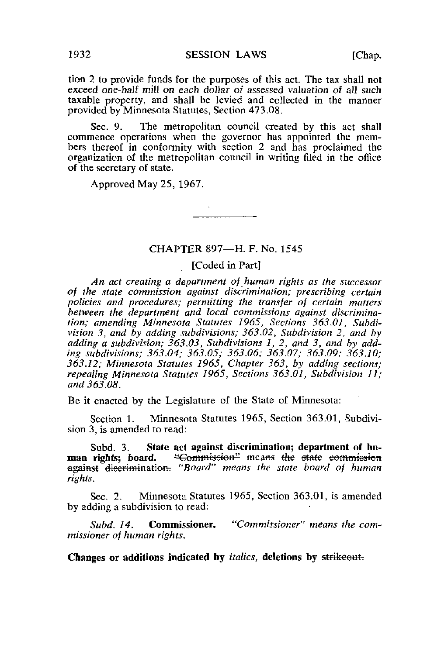tion 2 to provide funds for the purposes of this act. The tax shall not exceed one-half mill on each dollar of assessed valuation of all such taxable property, and shall be levied and collected in the manner provided by Minnesota Statutes, Section 473.08.

Sec. 9. The metropolitan council created by this act shall commence operations when the governor has appointed the members thereof in conformity with section 2 and has proclaimed the organization of the metropolitan council in writing filed in the office of the secretary of state.

Approved May 25, 1967.

### CHAPTER 897—H. F. No. 1545

#### [Coded in Part]

An act creating a department of human rights as the successor of the state commission against discrimination; prescribing certain policies and procedures; permitting the transfer of certain matters between the department and local commissions against discrimination; amending Minnesota Statutes 1965, Sections 363.01, Subdivision 3, and by adding subdivisions; 363.02, Subdivision 2, and by adding a subdivision;  $363.03$ , Subdivisions 1, 2, and 3, and by adding subdivisions; 363.04; 363.05; 363.06; 363.07; 363.09; 363.10; 363.12; Minnesota Statutes 1965, Chapter 363, by adding sections; repealing Minnesota Statutes 1965, Sections 363.01, Subdivision 11; and 363.08.

Be it enacted by the Legislature of the State of Minnesota:

Section 1. Minnesota Statutes 1965, Section 363.01, Subdivision 3, is amended to read:

Subd. 3. State act against discrimination; department of human rights; board. "Commission" means the state commission against discrimination. "Board" means the state board of human rights.

Sec. 2. Minnesota Statutes 1965, Section 363.01, is amended by adding a subdivision to read:

Subd. 14. Commissioner. "Commissioner" means the commissioner of human rights.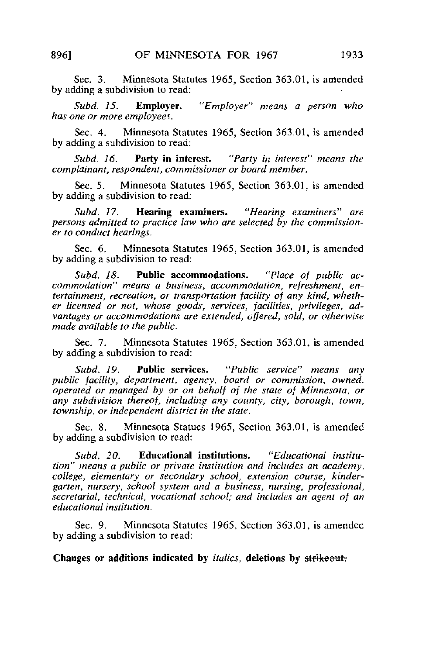Sec. 3. Minnesota Statutes 1965, Section 363.01, is amended by adding a subdivision to read:

Subd. 15. **Employer.** "Employer" means a person who has one or more employees.

Sec. 4. Minnesota Statutes 1965, Section 363.01, is amended by adding a subdivision to read:

Subd, 16. **Party in interest.** "Party in interest" means the complainant, respondent, commissioner or board member.

Sec. 5. Minnesota Statutes 1965, Section 363.01, is amended by adding a subdivision to read:

Subd. 17. **Hearing examiners.** "Hearing examiners" are persons admitted to practice law who are selected by the commissioner to conduct hearings.

Sec. 6. Minnesota Statutes 1965, Section 363.01, is amended by adding a subdivision to read:

Subd. 18. Public accommodations. "Place of public accommodation" means a business, accommodation, refreshment, entertainment, recreation, or transportation facility of any kind, whether licensed or not, whose goods, services, facilities, privileges, advantages or accommodations are extended, offered, sold, or otherwise made available to the public.

Sec. 7. Minnesota Statutes 1965, Section 363.01, is amended by adding a subdivision to read:

Subd. 19. **Public services.** "Public service" means any public facility, department, agency, board or commission, owned, operated or managed by or on behalf of the state of Minnesota, or any subdivision thereof, including any county, city, borough, town, township, or independent district in the state.

Sec. 8. Minnesota Statues 1965, Section 363.01, is amended by adding a subdivision to read:

Subd. 20. Educational institutions. "Educational institution" means a public or private institution and includes an academy, college, elementary or secondary school, extension course, kindergarten, nursery, school system and a business, nursing, professional, secretarial, technical, vocational school; and includes an agent of an educational institution.

Sec. 9. Minnesota Statutes 1965, Section 363.01, is amended by adding a subdivision to read: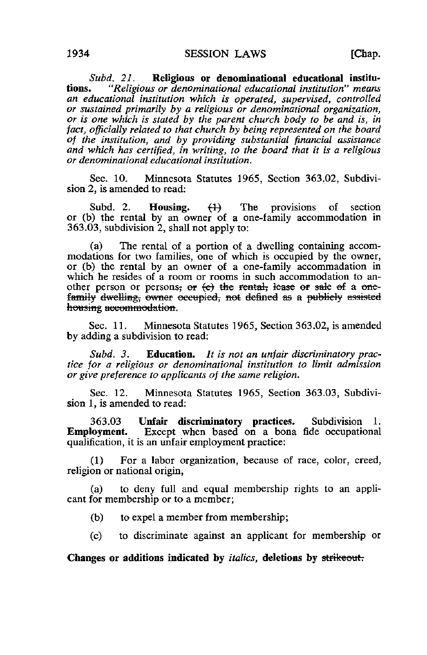Subd. 21. Religious or denominational educational institu-<br>tions. "Religious or denominational educational institution" means "Religious or denominational educational institution" means an educational institution which is operated, supervised, controlled or sustained primarily by a religious or denominational organization, or is one which is stated by the parent church body to be and is, in fact, officially related to that church by being represented on the board of the institution, and by providing substantial financial assistance and which has certified, in writing, to the board that it is a religious or denominational educational institution.

Sec. 10. Minnesota Statutes 1965, Section 363.02, Subdivision 2, is amended to read:

Subd. 2. **Housing.**  $\{1\}$  The provisions of section or (b) the rental by an owner of a one-family accommodation in 363.03, subdivision 2, shall not apply to:

(a) The rental of a portion of a dwelling containing accommodations for two families, one of which is occupied by the owner, or (b) the rental by an owner of a one-family accommadation in which he resides of a room or rooms in such accommodation to another person or persons; or  $\left\langle e\right\rangle$  the rental, lease or sale of a onefamily dwelling, owner occupied, not defined as a publicly assisted housing accommodation.

Sec. 11. Minnesota Statutes 1965, Section 363.02, is amended by adding a subdivision to read:

Subd. 3. Education. It is not an unfair discriminatory practice for a religious or denominational institution to limit admission or give preference to applicants of the same religion.

Sec. 12. Minnesota Statutes 1965, Section 363.03, Subdivision 1, is amended to read:

363.03 Unfair discriminatory practices. Subdivision 1.<br>**Employment.** Except when based on a bona fide occupational Except when based on a bona fide occupational qualification, it is an unfair employment practice:

(1) For a labor organization, because of race, color, creed, religion or national origin,

(a) to deny full and equal membership rights to an applicant for membership or to a member;

- (b) to expel a member from membership;
- (c) to discriminate against an applicant for membership or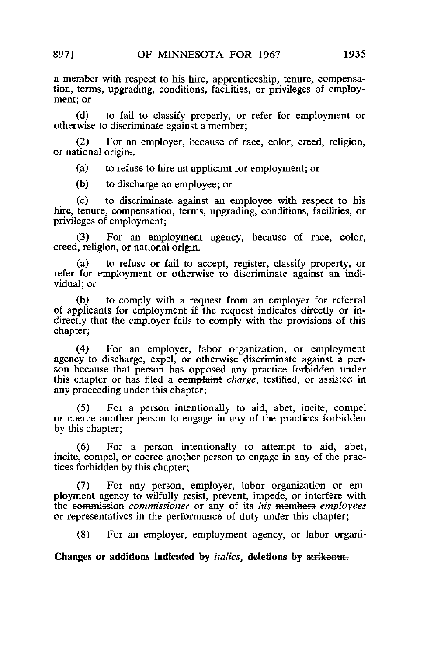a member with respect to his hire, apprenticeship, tenure, compensation, terms, upgrading, conditions, facilities, or privileges of employment; or

(d) to fail to classify properly, or refer for employment or otherwise to discriminate against a member;

(2) For an employer, because of race, color, creed, religion, or national origin-,

(a) to refuse to hire an applicant for employment; or

(b) to discharge an employee; or

(c) to discriminate against an employee with respect to his hire, tenure, compensation, terms, upgrading, conditions, facilities, or privileges of employment;

(3) For an employment agency, because of race, color, creed, religion, or national origin,

(a) to refuse or fail to accept, register, classify property, or refer for employment or otherwise to discriminate against an individual; or

(b) to comply with a request from an employer for referral of applicants for employment if the request indicates directly or indirectly that the employer fails to comply with the provisions of this chapter;

(4) For an employer, labor organization, or employment agency to discharge, expel, or otherwise discriminate against a person because that person has opposed any practice forbidden under this chapter or has filed a complaint charge, testified, or assisted in any proceeding under this chapter;

(5) For a person intentionally to aid, abet, incite, compel or coerce another person to engage in any of the practices forbidden by this chapter;

(6) For a person intentionally to attempt to aid, abet, incite, compel, or coerce another person to engage in any of the practices forbidden by this chapter;

(7) For any person, employer, labor organization or employment agency to wilfully resist, prevent, impede, or interfere with the commission commissioner or any of its his members employees or representatives in the performance of duty under this chapter;

(8) For an employer, employment agency, or labor organi-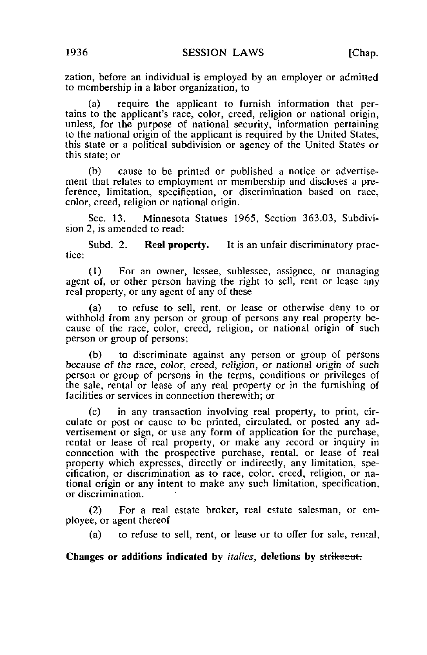zation, before an individual is employed by an employer or admitted to membership in a labor organization, to

(a) require the applicant to furnish information that pertains to the applicant's race, color, creed, religion or national origin, unless, for the purpose of national security, information pertaining to the national origin of the applicant is required by the United States, this state or a political subdivision or agency of the United States or this state; or

(b) cause to be printed or published a notice or advertisement that relates to employment or membership and discloses a preference, limitation, specification, or discrimination based on race, color, creed, religion or national origin.

Sec. 13. Minnesota Statues 1965, Section 363.03, Subdivision 2, is amended to read:

Subd. 2. **Real property.** It is an unfair discriminatory practice:

(1) For an owner, lessee, sublessee, assignee, or managing agent of, or other person having the right to sell, rent or lease any real property, or any agent of any of these

(a) to refuse to sell, rent, or lease or otherwise deny to or withhold from any person or group of persons any real property because of the race, color, creed, religion, or national origin of such person or group of persons;

(b) to discriminate against any person or group of persons because of the race, color, creed, religion, or national origin of such person or group of persons in the terms, conditions or privileges of the sale, rental or lease of any real property or in the furnishing of facilities or services in connection therewith; or

(c) in any transaction involving real property, to print, circulate or post or cause to be printed, circulated, or posted any advertisement or sign, or use any form of application for the purchase, rental or lease of real property, or make any record or inquiry in connection with the prospective purchase, rental, or lease of real property which expresses, directly or indirectly, any limitation, specification, or discrimination as to race, color, creed, religion, or national origin or any intent to make any such limitation, specification, or discrimination.

(2) For a real estate broker, real estate salesman, or employee, or agent thereof

(a) to refuse to sell, rent, or lease or to offer for sale, rental,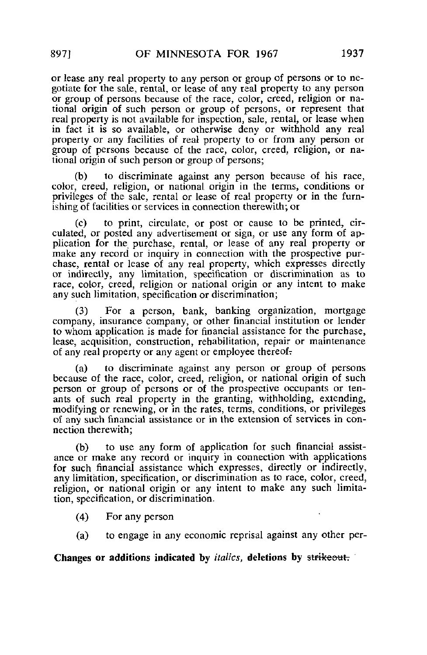or lease any real property to any person or group of persons or to negotiate for the sale, rental, or lease of any real property to any person or group of persons because of the race, color, creed, religion or national origin of such person or group of persons, or represent that real property is not available for inspection, sale, rental, or lease when in fact it is so available, or otherwise deny or withhold any real property or any facilities of real property to or from any person or group of persons because of the race, color, creed, religion, or national origin of such person or group of persons;

to discriminate against any person because of his race, color, creed, religion, or national origin in the terms, conditions or privileges of the sale, rental or lease of real property or in the furnishing of facilities or services in connection therewith; or

(c) to print, circulate, or post or cause to be printed, circulated, or posted any advertisement or sign, or use any form of application for the purchase, rental, or lease of any real property or make any record or inquiry in connection with the prospective purchase, rental or lease of any real property, which expresses directly or indirectly, any limitation, specification or discrimination as to race, color, creed, religion or national origin or any intent to make any such limitation, specification or discrimination;

For a person, bank, banking organization, mortgage company, insurance company, or other financial institution or lender to whom application is made for financial assistance for the purchase, lease, acquisition, construction, rehabilitation, repair or maintenance of any real property or any agent or employee thereof^

(a) to discriminate against any person or group of persons because of the race, color, creed, religion, or national origin of such person or group of persons or of the prospective occupants or tenants of such real property in the granting, withholding, extending, modifying or renewing, or in the rates, terms, conditions, or privileges of any such financial assistance or in the extension of services in connection therewith;

(b) to use any form of application for such financial assistance or make any record or inquiry in connection with applications for such financial assistance which expresses, directly or indirectly, any limitation, specification, or discrimination as to race, color, creed, religion, or national origin or any intent to make any such limitation, specification, or discrimination.

- (4) For any person
- (a) to engage in any economic reprisal against any other per-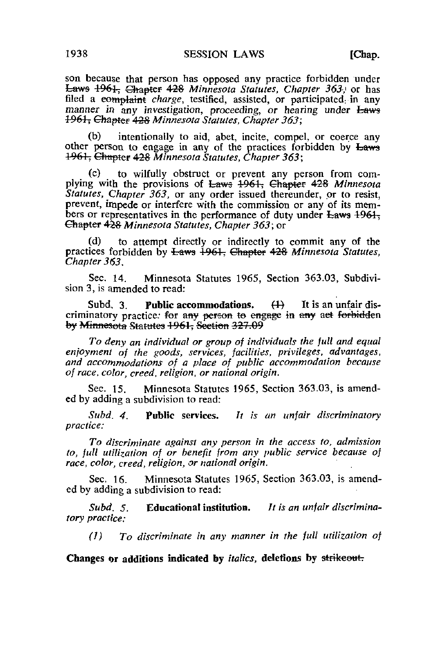son because that person has opposed any practice forbidden under Laws 1961, Chapter 428 Minnesota Statutes, Chapter 363, or has filed a complaint charge, testified, assisted, or participated in any manner in any investigation, proceeding, or hearing under Laws <del>1961, Chapter 428</del> Minnesota Statutes, Chapter 363;

(b) intentionally to aid, abet, incite, compel, or coerce any other person to engage in any of the practices forbidden by Laws 1961, Chapter 428 Minnesota Statutes, Chapter 363;

(c) to wilfully obstruct or prevent any person from complying with the provisions of Laws 1961, Chapter 428 Minnesota Statutes, Chapter 363, or any order issued thereunder, or to resist, prevent, impede or interfere with the commission or any of its members or representatives in the performance of duty under  $E_{\text{aws}}$  1961, Chapter 428 Minnesota Statutes, Chapter 363; or

(d) to attempt directly or indirectly to commit any of the practices forbidden by Laws 1961, Chapter 428 Minnesota Statutes, Chapter 363.

Sec. 14. Minnesota Statutes 1965, Section 363.03, Subdivision 3, is amended to read:

Subd, 3. Public accommodations.  $(1)$  It is an unfair discriminatory practice: for any person to engage in any aet forbidden by Minnesota Statutes 1961, Seetion 327.09

To deny an individual or group of individuals the full and equal enjoyment of the goods, services, facilities, privileges, advantages, and accommodations of a place of public accommodation because of race, color, creed, religion, or national origin.

Sec. 15. Minnesota Statutes 1965, Section 363.03, is amended by adding a subdivision to read:

Subd. 4. Public services. It is an unfair discriminatory practice:

To discriminate against any person in the access to, admission to, full utilization of or benefit from any public service because of race, color, creed, religion, or national origin.

Sec. 16. Minnesota Statutes 1965, Section 363.03, is amended by adding a subdivision to read:

Subd. 5. Educational institution. It is an unfair discriminatory practice:

(1) To discriminate in any manner in the full utilization of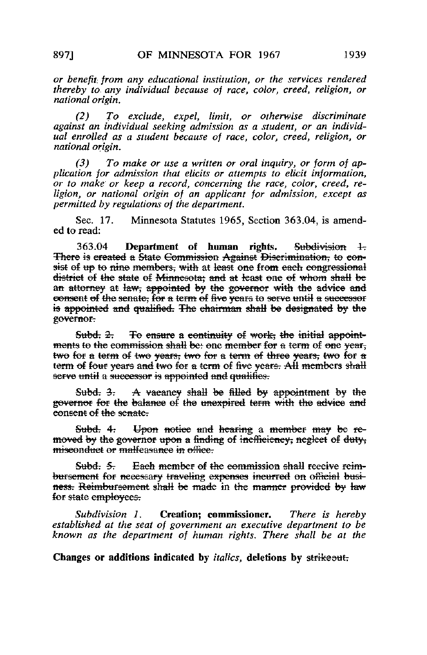or benefit, from any educational institution, or the services rendered thereby to. any individual because of race, color, creed, religion, or national origin.

(2) To exclude, expel, limit, or otherwise discriminate against an individual seeking admission as a student, or an individual enrolled as a student because of race, color, creed, religion, or national origin.

(3) To make or use a written or oral inquiry, or form of application for admission that elicits or attempts to elicit information, or to make or keep a record, concerning the race, color, creed, religion, or national origin of an applicant for admission, except as permitted by regulations of the department.

Sec. 17. Minnesota Statutes 1965, Section 363.04, is amended to read:

363.04 Department of human rights. Subdivision 1-There is created a State Commission Against Discrimination, to consist of up to nine members, with at least one from each congressional district of the state ef Minnesota; and at feast one ef whom shall be an attorney at law, appointed by the governor with the advice and eonsent ef the senate; for a term of five years to serve until a successor is appointed and qualified. The chairman shall be designated by the governor?

Subd.  $2$ . To ensure a continuity of work, the initial appointments to the commission shall be: one member for a term of one year, twe for a term of two years; two for a terra of three years; twe for a term of four years and two for a term of five years. All members shall serve until a successor is appointed and qualifies.

Subd:  $3$ : A vacancy shall be filled by appointment by the governor for the balance of the unexpired term with the advice and eonsent of the senate.

Subd. 4. Upon notice and hearing a member may be removed by the governor upon a finding of incfficiency; neglect of duty; miseonduet or malfeasance in office.

Subd: 5. Each member of the commission shall receive reimbursement for necessary traveling expenses incurred on official business. Reimbureement shall be made in the manner provided by law for state employees.

Subdivision 1. Creation; commissioner, There is hereby established at the seat of government an executive department to be known as the department of human rights. There shall be at the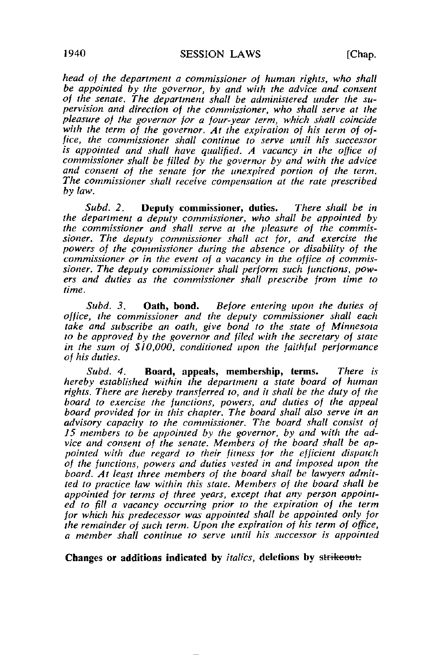head of the department a commissioner of human rights, who shall be appointed by the governor, by and with the advice and consent of the senate. The department shall be administered under the supervision and direction of the commissioner, who shall serve at the pleasure of the governor for a four-year term, which shall coincide with the term of the governor. At the expiration of his term of office, the commissioner shall continue to serve until his successor is appointed and shall have qualified. A vacancy in the office of commissioner shall be filled by the governor by and with the advice and consent of the senate for the unexpired portion of the term. The commissioner shall receive compensation at the rate prescribed by law.

Subd. 2. Deputy commissioner, duties. There shall be in the department a deputy commissioner, who shall be appointed by the commissioner and shall serve at the pleasure of the commissioner. The deputy commissioner shall act for, and exercise the powers of the commissioner during the absence or disability of the commissioner or in the event of a vacancy in the office of commissioner. The deputy commissioner shall perform such functions, powers and duties as the commissioner shall prescribe from time to time.

Subd. 3. **Oath, bond.** Before entering upon the duties of office, the commissioner and the deputy commissioner shall each take and subscribe an oath, give bond to the state of Minnesota to be approved by the governor and filed with the secretary of state in the sum of \$10,000, conditioned upon the faithful performance of his duties.

Subd. 4. Board, appeals, membership, terms. There is hereby established within the department a state board of human rights. There are hereby transferred to, and it shall be the duty of the board to exercise the functions, powers, and duties of the appeal board provided for in this chapter. The board shall also serve in an advisory capacity to the commissioner. The board shall consist of 15 members to be appointed by the governor, by and with the advice and consent of the senate. Members of the board shall be appointed with due regard to their fitness for the efficient dispatch of the functions, powers and duties vested in and imposed upon the board. At least three members of the board shall be lawyers admitted to practice law within this state. Members of the board shall be appointed for terms of three years, except that any person appointed to fill a vacancy occurring prior to the expiration of the term for which his predecessor was appointed shall be appointed only for the remainder of such term. Upon the expiration of his term of office, a member shall continue to serve until his successor is appointed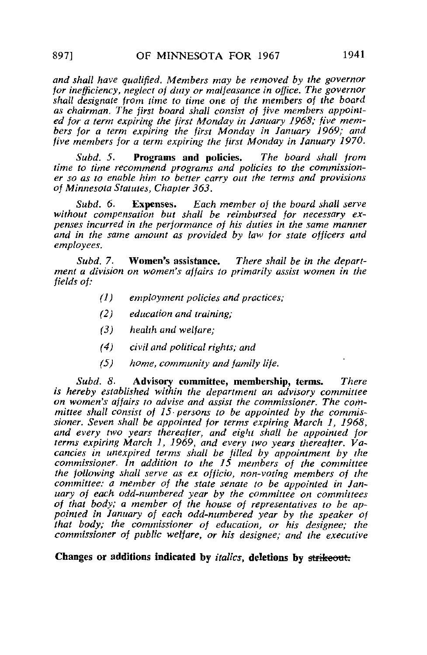and shall have qualified. Members may be removed by the governor for inefficiency, neglect of duty or malfeasance in office. The governor shall designate from time to time one of the members oj the board as chairman. The first board shall consist of jive members appointed for a term expiring the first Monday in January 1968; five members for a term expiring the first Monday in January 1969; and five members for a term expiring the first Monday in January 1970.

Subd. 5. Programs and policies. The board shall from time to time recommend programs and policies to the commissioner so as to enable him to better carry out the terms and provisions of Minnesota Statutes, Chapter 363.

Subd. 6. Expenses. Each member of the board shall serve without compensation but shall be reimbursed for necessary expenses incurred in the performance of his duties in the same manner and in the same amount as provided by law for state officers and employees.

Subd. 7. Women's assistance. There shall be in the department a division on women's affairs to primarily assist women in the fields of:

- (1) employment policies and practices;
- (2) education and training;
- f3) health and welfare;
- (4) civil and political rights; and
- (5) home, community and family life.

Subd. 8. Advisory committee, membership, terms. There is hereby established within the department an advisory committee on women's affairs to advise and assist the commissioner. The committee shall consist of  $15$  persons to be appointed by the commissioner. Seven shall be appointed for terms expiring March 1, 1968, and every two years thereafter, and eight shall be appointed for terms expiring March 1, 1969, and every two years thereafter. Vacancies in unexpired terms shall be filled by appointment by the commissioner. In addition to the 15 members of the committee the following shall serve as ex officio, non-voting members of the committee: a member of the state senate to be appointed in January of each odd-numbered year by the committee on committees of that body; a member of the house of representatives to be appointed in January of each odd-numbered year by the speaker of that body; the commissioner of education, or his designee; the commissioner of public welfare, or his designee; and the executive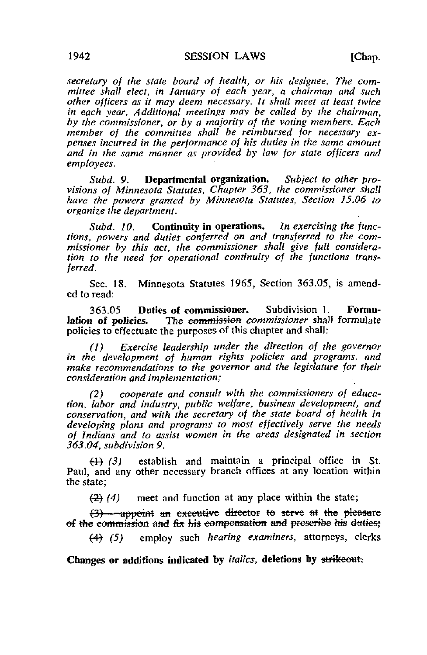secretary of the state board of health, or his designee. The committee shall elect, in January of each year, a chairman and such other officers as it may deem necessary. It shall meet at least twice in each year. Additional meetings may be called by the chairman, by the commissioner, or by a majority of the voting members. Each member of the committee shall be reimbursed for necessary expenses incurred in the performance of his duties in the same amount and in the same manner as provided by law for state officers and employees.

Subd. 9. **Departmental organization.** Subject to other provisions of Minnesota Statutes, Chapter 363, the commissioner shall have the powers granted by Minnesota Statutes, Section 15.06 to organize the department.

Subd. 10. Continuity in operations. In exercising the functions, powers and duties conferred on and transferred to the commissioner by this act, the commissioner shall give full consideration to the need for operational continuity of the functions transferred.

Sec. 18. Minnesota Statutes 1965, Section 363.05, is amended to read:

363.05 Duties of commissioner. Subdivision 1. Formu-<br>lation of policies. The eommission commissioner shall formulate The eommission commissioner shall formulate policies to effectuate the purposes of this chapter and shall:

(1) Exercise leadership under the direction of the governor in the development of human rights policies and programs, and make recommendations to the governor and the legislature for their consideration and implementation;

(2) cooperate and consult with the commissioners of education, labor and industry, public welfare, business development, and conservation, and with the secretary of the state board of health in developing plans and programs to most effectively serve the needs of Indians and to assist women in the areas designated in section 363.04, subdivision 9.

 $(4)$   $(3)$  establish and maintain a principal office in St. Paul, and any other necessary branch offices at any location within the state;

 $(2)$  (4) meet and function at any place within the state;

 $(3)$  -appoint an executive director to serve at the pleasure of the commission and fix his compensation and prescribe his duties.

employ such *hearing examiners*, attorneys, clerks  $(4)$   $(5)$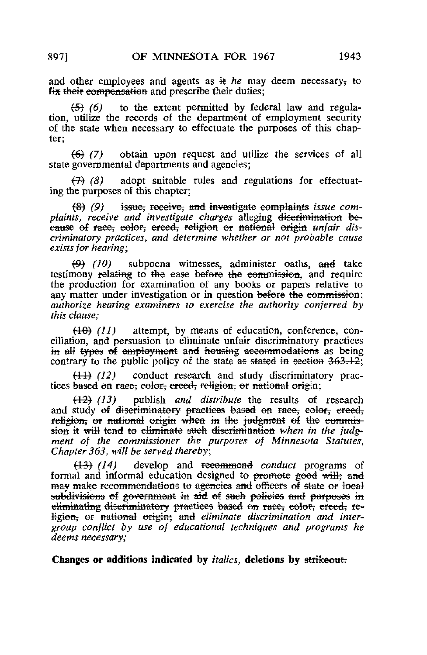and other employees and agents as  $\pm$  he may deem necessary, to fix their compensation and prescribe their duties;

 $(5)$  (6) to the extent permitted by federal law and regulation, utilize the records of the department of employment security of the state when necessary to effectuate the purposes of this chapter;

(6) (7) obtain upon request and utilize the services of all state governmental departments and agencies;

 $(7)$  (8) adopt suitable rules and regulations for effectuating the purposes of this chapter;

 $(8)$  (9) issue, receive, and investigate complaints issue complaints, receive and investigate charges alleging discrimination because of race, eolor, erced, religion or national origin unfair discriminatory practices, and determine whether or not probable cause exists for hearing;

 $(9)$  (10) subpoena witnesses, administer oaths, and take testimony relating to the ease before the commission, and require the production for examination of any books or papers relative to any matter under investigation or in question before the commission; authorize hearing examiners to exercise the authority conferred by this clause;

 $(10)$  (11) attempt, by means of education, conference, conciliation, and persuasion to eliminate unfair discriminatory practices in all types of employment and housing accommodations as being contrary to the public policy of the state as stated in section  $363.12$ ;

 $(11)$  (12) conduct research and study discriminatory practices based on race; color; creed; religion, or national origin;

 $(12)$  (13) publish and distribute the results of research and study of discriminatory practices based on race, color, creed, religion, or national origin when in the judgment of the commission it will tend to eliminate such discrimination when in the judgment of the commissioner the purposes of Minnesota Statutes, Chapter 363, will be served thereby,

 $(13)$   $(14)$  develop and recommend conduct programs of formal and informal education designed to promote good will; and may make recommendations to agencies and officers of state or local subdivisions of government in aid of such policies and purposes in eliminating discriminatory practices based on race, eolor, creed, re-Higion, or national origin; and eliminate discrimination and intergroup conflict by use of educational techniques and programs he deems necessary;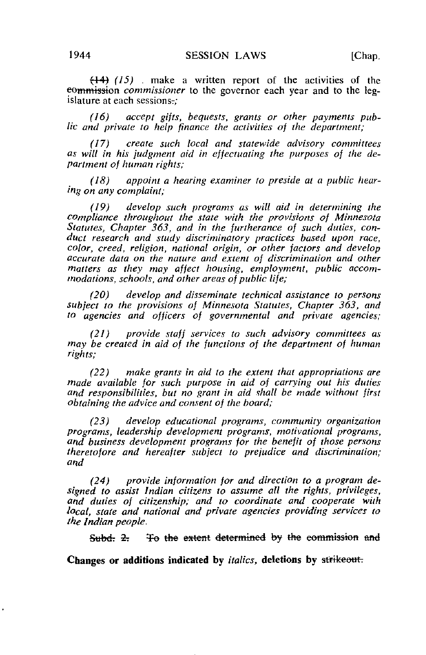$(15)$  . make a written report of the activities of the eommission *commissioner* to the governor each year and to the legislature at each sessions?;

(16) accept gifts, bequests, grants or other payments public and private to help finance the activities of the department;

(17) create such local and statewide advisory committees as will in his judgment aid in effectuating the purposes of the department of human rights;

(18) appoint a hearing examiner to preside at a public hearing on any complaint;

(19) develop such programs as will aid in determining the compliance throughout the state with the provisions of Minnesota Statutes, Chapter 363, and in the furtherance of such duties, conduct research and study discriminatory practices based upon race, color, creed, religion, national origin, or other factors and develop accurate data on the nature and extent of discrimination and other matters as they may affect housing, employment, public accommodations, schools, and other areas of public life;

(20) develop and disseminate technical assistance to persons subject to the provisions of Minnesota Statutes, Chapter 363, and to agencies and officers of governmental and private agencies;

(21) provide staff services to such advisory committees as may be created in aid of the functions of the department of human rights;

(22) make grants in aid to the extent that appropriations are made available for such purpose in aid of carrying out his duties and responsibilities, but no grant in aid shall be made without first obtaining the advice and consent of the board;

(23) develop educational programs, community organization programs, leadership development programs, motivational programs, and business development programs for the benefit of those persons theretofore and hereafter subject to prejudice and discrimination; and

 $(24)$  provide information for and direction to a program designed to assist Indian citizens to assume all the rights, privileges, and duties of citizenship; and to coordinate and cooperate with local, state and national and private agencies providing services to the Indian people.

Subd. 2. To the extent determined by the commission and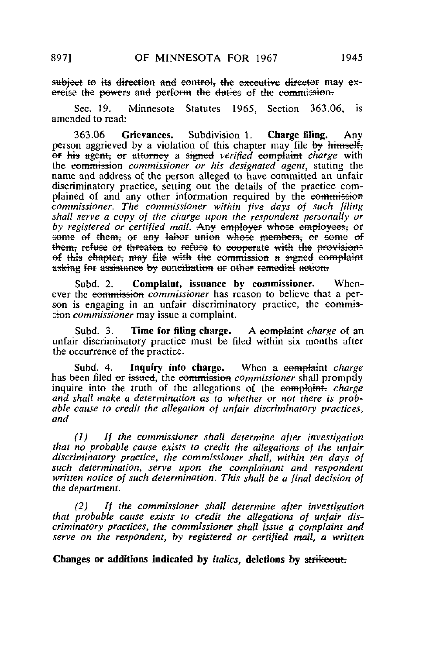subject to its direction and control, the executive director may e $\ddot{x}$ ereise the powers and perform the duties of the commission.

Sec. 19. Minnesota Statutes 1965, Section 363.06, is amended to read:

363.06 Grievances. Subdivision 1. Charge filing. Any person aggrieved by a violation of this chapter may file by himself, or his agent, or attorney a signed verified complaint charge with the commission commissioner or his designated agent, stating the name and address of the person alleged to have committed an unfair discriminatory practice, setting out the details of the practice complained of and any other information required by the commission commissioner. The commissioner within jive days of such filing shall serve a copy of the charge upon the respondent personally or by registered or certified mail. Any employer whose employees, or some of them, or any labor union whose members, or some of them, refuse or threaten to refuse to cooperate with the provisions of this chapter; may file with the commission a signed complaint asking for assistance by conciliation or other remedial action.

Subd. 2. Complaint, issuance by commissioner. Whenever the commission *commissioner* has reason to believe that a person is engaging in an unfair discriminatory practice, the eommission commissioner may issue a complaint.

Subd. 3. Time for filing charge. A eomplaint *charge* of an unfair discriminatory practice must be filed within six months after the occurrence of the practice.

Subd. 4. Inquiry into charge. When a complaint charge has been filed or issued, the commission commissioner shall promptly inquire into the truth of the allegations of the complaint. charge and shall make a determination as to whether or not there is probable cause to credit the allegation of unfair discriminatory practices, and

(1) If the commissioner shall determine after investigation that no probable cause exists to credit the allegations of the unfair discriminatory practice, the commissioner shall, within ten days of such determination, serve upon the complainant and respondent written notice of such determination. This shall be a final decision of the department.

(2) If the commissioner shall determine after investigation that probable cause exists to credit the allegations of unfair discriminatory practices, the commissioner shall issue a complaint and serve on the respondent, by registered or certified mail, a written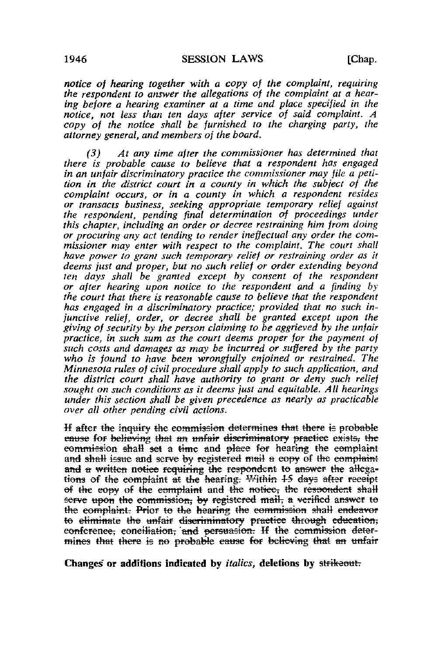notice of hearing together with a copy of the complaint, requiring the respondent to answer the allegations of the complaint at a hearing before a hearing examiner at a time and place specified in the notice, not less than ten days after service of said complaint. A copy of the notice shall be furnished to the charging party, the attorney general, and members of the board.

(3) At any time after the commissioner has determined that there is probable cause to believe that a respondent has engaged in an unfair discriminatory practice the commissioner may file a petition in the district court in a county in which the subject of the complaint occurs, or in a county in which a respondent resides or transacts business, seeking appropriate temporary relief against the respondent, pending final determination of proceedings under this chapter, including an order or decree restraining him from doing or procuring any act tending to render ineffectual any order the commissioner may enter with respect to the complaint. The court shall have power to grant such temporary relief or restraining order as it deems just and proper, but no such relief or order extending beyond ten days shall be granted except by consent of the respondent or after hearing upon notice to the respondent and a finding by the court that there is reasonable cause to believe that the respondent has engaged in a discriminatory practice; provided that no such injunctive relief, order, or decree shall be granted except upon the giving of security by the person claiming to be aggrieved by the unfair practice, in such sum as the court deems proper for the payment of such costs and damages as may be incurred or suffered by the party who is found to have been wrongfully enjoined or restrained. The Minnesota rules of civil procedure shall apply to such application, and the district court shall have authority to grant or deny such relief sought on such conditions as it deems just and equitable. All hearings under this section shall be given precedence as nearly as practicable over all other pending civil actions.

If after the inquiry the commission determines that there is probable eause for believing that an unfair discriminatory practice exists, the eommission shall set a time and place for hearing the complaint and shall issue and serve by registered mail a copy of the complaint and a written notice requiring the respondent to answer the allegations of the complaint at the hearing. Within  $45$  days after receipt of the copy of the complaint and the notice, the respondent shall serve upon the commission; by registered mail, a verified answer to the complaint. Prior to the hearing the commission shall endeavor to eliminate the unfair discriminatory practice through education; conference; conciliation; 'and persuasion. If the commission determines that there is no probable cause for believing that an unfair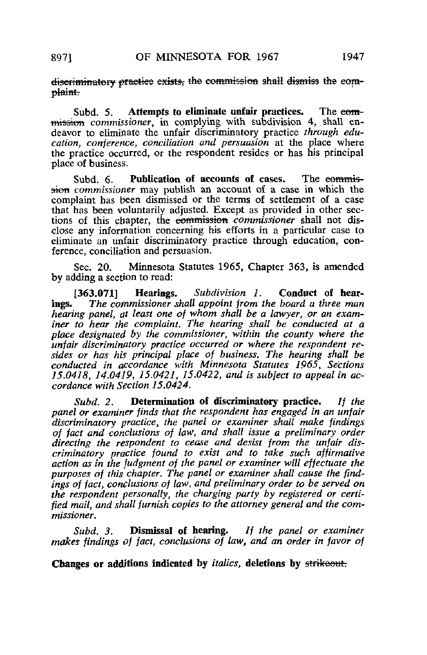diseriminatory practice exists, the commission shall dismiss the complaint.

Subd. 5. Attempts to eliminate unfair practices. The eommission commissioner, in complying with subdivision 4, shall endeavor to eliminate the unfair discriminatory practice through education, conference, conciliation and persuasion at the place where the practice occurred, or the respondent resides or has his principal place of business.

Subd. 6. Publication of accounts of cases. The eommission commissioner may publish an account of a case in which the complaint has been dismissed or the terms of settlement of a case that has been voluntarily adjusted. Except as provided in other sections of this chapter, the commission commissioner shall not disclose any information concerning his efforts in a particular case to eliminate an unfair discriminatory practice through education, conference, conciliation and persuasion.

Sec. 20. Minnesota Statutes 1965, Chapter 363, is amended by adding a section to read:

[363.071] Hearings. Subdivision 1. Conduct of hearings. The commissioner shall appoint from the board a three man hearing panel, at least one of whom shall be a lawyer, or an examiner to hear the complaint. The hearing shall be conducted at a place designated by the commissioner, within the county where the unfair discriminatory practice occurred or where the respondent resides or has his principal place of business. The hearing shall be conducted in accordance with Minnesota Statutes 1965, Sections 15.0418, 14.0419, 15.0421, 15.0422, and is subject to appeal in accordance with Section 15.0424.

Subd. 2. Determination of discriminatory practice. It the panel or examiner finds that the respondent has engaged in an unfair discriminatory practice, the panel or examiner shall make findings of fact and conclusions of law, and shall issue a preliminary order directing the respondent to cease and desist from the unfair discriminatory practice found to exist and to take such affirmative action as in the judgment of the panel or examiner will effectuate the purposes of this chapter. The panel or examiner shall cause the findings of fact, conclusions of law, and preliminary order to be served on the respondent personally, the charging party by registered or certified mail, and shall furnish copies to the attorney general and the commissioner.

Subd.  $3$ . Dismissal of hearing. If the panel or examiner makes findings of fact, conclusions of law, and an order in favor of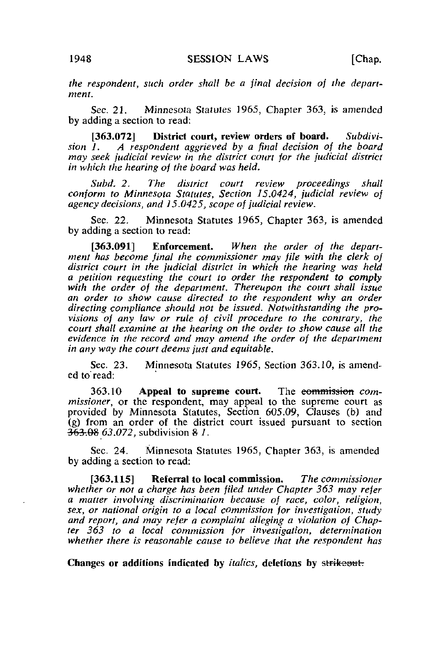the respondent, such order shall be a final decision of the department.

Sec. 21. Minnesota Statutes 1965, Chapter 363, is amended by adding a section to read:

[363.072] District court, review orders of board. Subdivi-<br>sion 1. A respondent aggrieved by a final decision of the board A respondent aggrieved by a final decision of the board may seek judicial review in the district court for the judicial district in which the hearing of the board was held.

Subd. 2. The district court review proceedings shall conform to Minnesota Statutes, Section 15.0424, judicial review oj agency decisions, and  $15.0425$ , scope of judicial review.

Sec. 22. Minnesota Statutes 1965, Chapter 363, is amended by adding a section to read:

[363.091] Enforcement. When the order of the department has become final the commissioner may file with the clerk of district court in the judicial district in which the hearing was held a petition requesting the court to order the respondent to comply with the order of the department. Thereupon the court shall issue an order to show cause directed to the respondent why an order directing compliance should not be issued. Notwithstanding the provisions of any law or rule of civil procedure to the contrary, the court shall examine at the hearing on the order to show cause all the evidence in the record and may amend the order of the department in any way the court deems just and equitable.

Sec. 23. Minnesota Statutes 1965, Section 363.10, is amended to read:

363.10 Appeal to supreme court. The eommission commissioner, or the respondent, may appeal to the supreme court as provided by Minnesota Statutes, Section 605.09, Clauses (b) and (g) from an order of the district court issued pursuant to section  $\overline{363.08}$  63.072, subdivision 8.1.

Sec. 24. Minnesota Statutes 1965, Chapter 363, is amended by adding a section to read:

[363,115] Referral to local commission. The commissioner whether or not a charge has been filed under Chapter 363 may refer a matter involving discrimination because of race, color, religion, sex, or national origin to a local commission for investigation, study and report, and may refer a complaint alleging a violation of Chapter 363 to a local commission for investigation, determination whether there is reasonable cause to believe that the respondent has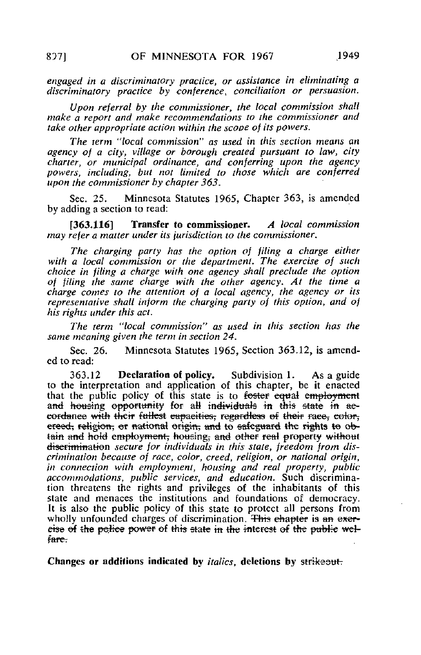engaged in a discriminatory practice, or assistance in eliminating a discriminatory practice by conference, conciliation or persuasion.

Upon referral by the commissioner, the local commission shall make a report and make recommendations to the commissioner and take other appropriate action within the scooe of its powers.

The term "local commission" as used in this section means an agency of a city, village or borough created pursuant to law, city charter, or municipal ordinance, and conferring upon the agency powers, including, but not limited to those which are conferred upon the commissioner by chapter 363.

Sec. 25. Minnesota Statutes 1965, Chapter 363, is amended by adding a section to read:

[363.116] Transfer to commissioner. A local commission may refer a matter under its jurisdiction to the commissioner,

The charging party has the option of filing a charge either with a local commission or the department. The exercise of such choice in filing a charge with one agency shall preclude the option of filing the same charge with the other agency. At the time a charge comes to the attention of a local agency, the agency or its representative shall inform the charging party of this option, and of his rights under this act.

The term "local commission" as used in this section has the same meaning given the term in section 24.

Sec. 26. Minnesota Statutes 1965, Section 363.12, is amended to read:

363.12 Declaration of policy. Subdivision 1. As a guide to the interpretation and application of this chapter, be it enacted that the public policy of this state is to foster equal employment and housing opportunity for all individuals in this state in accordance with their fullest capacities; regardless of their race, color, ereed, religion, or national origin, and to safeguard the rights to obtain and hold employment, housing, and other real property without diserimination secure for individuals in this state, freedom from discrimination because of race, color, creed, religion, or national origin, in connection with employment, housing and real property, public accommodations, public services, and education. Such discrimination threatens the rights and privileges of the inhabitants of this state and menaces the institutions and foundations of democracy. It is also the public policy of this state to protect all persons from wholly unfounded charges of discrimination. This chapter is an exercise of the police power of this state in the interest of the public wel-<br>fare.